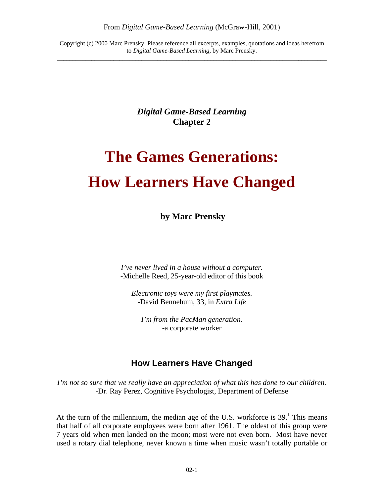> *Digital Game-Based Learning* **Chapter 2**

# **The Games Generations: How Learners Have Changed**

 **by Marc Prensky** 

*I've never lived in a house without a computer.*  -Michelle Reed, 25-year-old editor of this book

*Electronic toys were my first playmates.*  -David Bennehum, 33, in *Extra Life* 

*I'm from the PacMan generation.*  -a corporate worker

# **How Learners Have Changed**

*I'm not so sure that we really have an appreciation of what this has done to our children.*  -Dr. Ray Perez, Cognitive Psychologist, Department of Defense

At the turn of the millennium, the median age of the U.S. workforce is  $39<sup>1</sup>$ . This means that half of all corporate employees were born after 1961. The oldest of this group were 7 years old when men landed on the moon; most were not even born. Most have never used a rotary dial telephone, never known a time when music wasn't totally portable or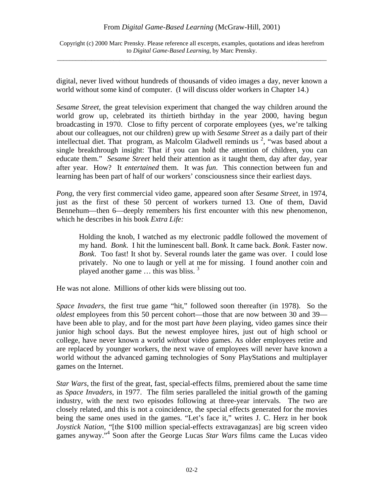digital, never lived without hundreds of thousands of video images a day, never known a world without some kind of computer. (I will discuss older workers in Chapter 14.)

*Sesame Street*, the great television experiment that changed the way children around the world grow up, celebrated its thirtieth birthday in the year 2000, having begun broadcasting in 1970. Close to fifty percent of corporate employees (yes, we're talking about our colleagues, not our children) grew up with *Sesame Street* as a daily part of their intellectual diet. That program, as Malcolm Gladwell reminds us<sup>2</sup>, "was based about a single breakthrough insight: That if you can hold the attention of children, you can educate them." *Sesame Street* held their attention as it taught them, day after day, year after year. How? It *entertained* them. It was *fun*. This connection between fun and learning has been part of half of our workers' consciousness since their earliest days.

*Pong*, the very first commercial video game, appeared soon after *Sesame Street*, in 1974, just as the first of these 50 percent of workers turned 13. One of them, David Bennehum—then 6—deeply remembers his first encounter with this new phenomenon, which he describes in his book *Extra Life:* 

Holding the knob, I watched as my electronic paddle followed the movement of my hand. *Bonk*. I hit the luminescent ball. *Bonk*. It came back. *Bonk*. Faster now. *Bonk*. Too fast! It shot by. Several rounds later the game was over. I could lose privately. No one to laugh or yell at me for missing. I found another coin and played another game  $\ldots$  this was bliss.<sup>3</sup>

He was not alone. Millions of other kids were blissing out too.

*Space Invaders*, the first true game "hit," followed soon thereafter (in 1978). So the *oldest* employees from this 50 percent cohort—those that are now between 30 and 39 have been able to play, and for the most part *have been* playing, video games since their junior high school days. But the newest employee hires, just out of high school or college, have never known a world *without* video games. As older employees retire and are replaced by younger workers, the next wave of employees will never have known a world without the advanced gaming technologies of Sony PlayStations and multiplayer games on the Internet.

*Star Wars*, the first of the great, fast, special-effects films, premiered about the same time as *Space Invaders*, in 1977. The film series paralleled the initial growth of the gaming industry, with the next two episodes following at three-year intervals. The two are closely related, and this is not a coincidence, the special effects generated for the movies being the same ones used in the games. "Let's face it," writes J. C. Herz in her book *Joystick Nation,* "[the \$100 million special-effects extravaganzas] are big screen video games anyway."<sup>4</sup> Soon after the George Lucas *Star Wars* films came the Lucas video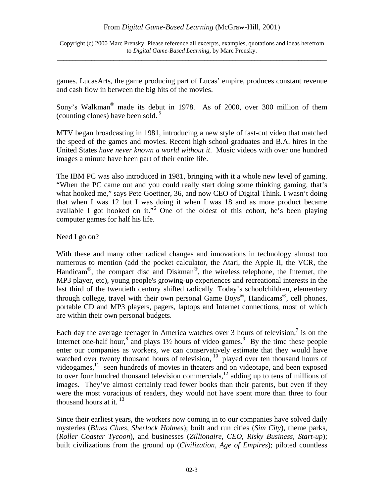games. LucasArts, the game producing part of Lucas' empire, produces constant revenue and cash flow in between the big hits of the movies.

Sony's Walkman® made its debut in 1978. As of 2000, over 300 million of them (counting clones) have been sold. 5

MTV began broadcasting in 1981, introducing a new style of fast-cut video that matched the speed of the games and movies. Recent high school graduates and B.A. hires in the United States *have never known a world without it*. Music videos with over one hundred images a minute have been part of their entire life.

The IBM PC was also introduced in 1981, bringing with it a whole new level of gaming. "When the PC came out and you could really start doing some thinking gaming, that's what hooked me," says Pete Goettner, 36, and now CEO of Digital Think. I wasn't doing that when I was 12 but I was doing it when I was 18 and as more product became available I got hooked on it."<sup>6</sup> One of the oldest of this cohort, he's been playing computer games for half his life.

Need I go on?

With these and many other radical changes and innovations in technology almost too numerous to mention (add the pocket calculator, the Atari, the Apple II, the VCR, the Handicam®, the compact disc and Diskman®, the wireless telephone, the Internet, the MP3 player, etc), young people's growing-up experiences and recreational interests in the last third of the twentieth century shifted radically. Today's schoolchildren, elementary through college, travel with their own personal Game Boys®, Handicams®, cell phones, portable CD and MP3 players, pagers, laptops and Internet connections, most of which are within their own personal budgets.

Each day the average teenager in America watches over 3 hours of television,<sup>7</sup> is on the Internet one-half hour,<sup>8</sup> and plays  $1\frac{1}{2}$  hours of video games.<sup>9</sup> By the time these people enter our companies as workers, we can conservatively estimate that they would have watched over twenty thousand hours of television,  $10$  played over ten thousand hours of videogames, $11$  seen hundreds of movies in theaters and on videotape, and been exposed to over four hundred thousand television commercials, $\frac{12}{12}$  adding up to tens of millions of images. They've almost certainly read fewer books than their parents, but even if they were the most voracious of readers, they would not have spent more than three to four thousand hours at it.  $13$ 

Since their earliest years, the workers now coming in to our companies have solved daily mysteries (*Blues Clues*, *Sherlock Holmes*); built and run cities (*Sim City*), theme parks, (*Roller Coaster Tycoon*), and businesses (*Zillionaire, CEO, Risky Business, Start-up*); built civilizations from the ground up (*Civilization, Age of Empires*); piloted countless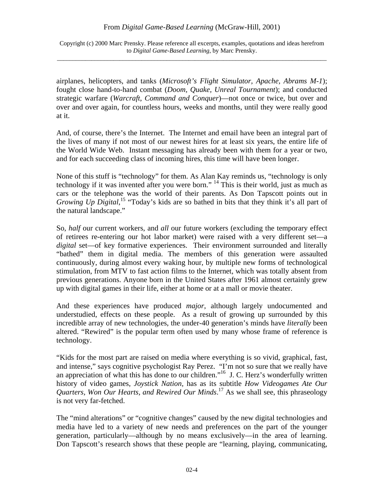airplanes, helicopters, and tanks (*Microsoft's Flight Simulator, Apache, Abrams M-1*); fought close hand-to-hand combat (*Doom, Quake, Unreal Tournament*); and conducted strategic warfare (*Warcraft*, *Command and Conquer*)—not once or twice, but over and over and over again, for countless hours, weeks and months, until they were really good at it.

And, of course, there's the Internet. The Internet and email have been an integral part of the lives of many if not most of our newest hires for at least six years, the entire life of the World Wide Web. Instant messaging has already been with them for a year or two, and for each succeeding class of incoming hires, this time will have been longer.

None of this stuff is "technology" for them. As Alan Kay reminds us, "technology is only technology if it was invented after you were born." 14 This is their world, just as much as cars or the telephone was the world of their parents. As Don Tapscott points out in Growing Up Digital,<sup>15</sup> "Today's kids are so bathed in bits that they think it's all part of the natural landscape."

So, *half* our current workers, and *all* our future workers (excluding the temporary effect of retirees re-entering our hot labor market) were raised with a very different set—a *digital* set—of key formative experiences. Their environment surrounded and literally "bathed" them in digital media. The members of this generation were assaulted continuously, during almost every waking hour, by multiple new forms of technological stimulation, from MTV to fast action films to the Internet, which was totally absent from previous generations. Anyone born in the United States after 1961 almost certainly grew up with digital games in their life, either at home or at a mall or movie theater.

And these experiences have produced *major*, although largely undocumented and understudied, effects on these people. As a result of growing up surrounded by this incredible array of new technologies, the under-40 generation's minds have *literally* been altered. "Rewired" is the popular term often used by many whose frame of reference is technology.

"Kids for the most part are raised on media where everything is so vivid, graphical, fast, and intense," says cognitive psychologist Ray Perez. "I'm not so sure that we really have an appreciation of what this has done to our children."<sup>16</sup> J. C. Herz's wonderfully written history of video games, *Joystick Nation,* has as its subtitle *How Videogames Ate Our Quarters, Won Our Hearts, and Rewired Our Minds*. 17 As we shall see, this phraseology is not very far-fetched.

The "mind alterations" or "cognitive changes" caused by the new digital technologies and media have led to a variety of new needs and preferences on the part of the younger generation, particularly—although by no means exclusively—in the area of learning. Don Tapscott's research shows that these people are "learning, playing, communicating,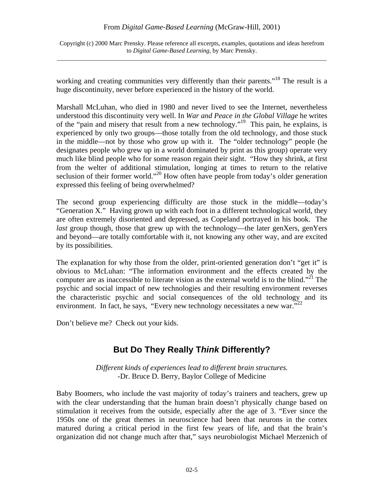#### From *Digital Game-Based Learning* (McGraw-Hill, 2001)

Copyright (c) 2000 Marc Prensky. Please reference all excerpts, examples, quotations and ideas herefrom to *Digital Game-Based Learning*, by Marc Prensky. \_\_\_\_\_\_\_\_\_\_\_\_\_\_\_\_\_\_\_\_\_\_\_\_\_\_\_\_\_\_\_\_\_\_\_\_\_\_\_\_\_\_\_\_\_\_\_\_\_\_\_\_\_\_\_\_\_\_\_\_\_\_\_\_\_\_\_\_\_\_\_\_\_\_\_\_\_\_\_\_\_\_\_\_\_\_

working and creating communities very differently than their parents."<sup>18</sup> The result is a huge discontinuity, never before experienced in the history of the world.

Marshall McLuhan, who died in 1980 and never lived to see the Internet, nevertheless understood this discontinuity very well. In *War and Peace in the Global Village* he writes of the "pain and misery that result from a new technology."19 This pain, he explains, is experienced by only two groups—those totally from the old technology, and those stuck in the middle—not by those who grow up with it. The "older technology" people (he designates people who grew up in a world dominated by print as this group) operate very much like blind people who for some reason regain their sight. "How they shrink, at first from the welter of additional stimulation, longing at times to return to the relative seclusion of their former world."<sup>20</sup> How often have people from today's older generation expressed this feeling of being overwhelmed?

The second group experiencing difficulty are those stuck in the middle—today's "Generation X." Having grown up with each foot in a different technological world, they are often extremely disoriented and depressed, as Copeland portrayed in his book. The *last* group though, those that grew up with the technology—the later genXers, genYers and beyond—are totally comfortable with it, not knowing any other way, and are excited by its possibilities.

The explanation for why those from the older, print-oriented generation don't "get it" is obvious to McLuhan: "The information environment and the effects created by the computer are as inaccessible to literate vision as the external world is to the blind.<sup> $21$ </sup> The psychic and social impact of new technologies and their resulting environment reverses the characteristic psychic and social consequences of the old technology and its environment. In fact, he says, "Every new technology necessitates a new war."<sup>22</sup>

Don't believe me? Check out your kids.

# **But Do They Really T***hink* **Differently?**

*Different kinds of experiences lead to different brain structures.*  -Dr. Bruce D. Berry, Baylor College of Medicine

Baby Boomers, who include the vast majority of today's trainers and teachers, grew up with the clear understanding that the human brain doesn't physically change based on stimulation it receives from the outside, especially after the age of 3. "Ever since the 1950s one of the great themes in neuroscience had been that neurons in the cortex matured during a critical period in the first few years of life, and that the brain's organization did not change much after that," says neurobiologist Michael Merzenich of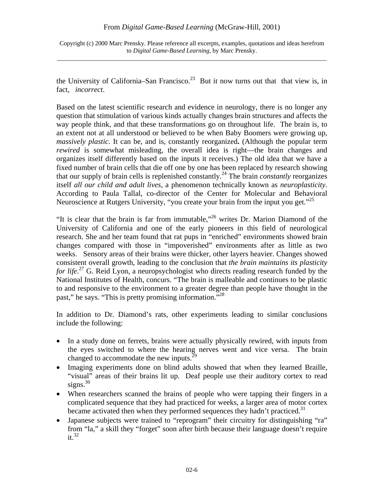the University of California–San Francisco.<sup>23</sup> But it now turns out that that view is, in fact, *incorrect*.

Based on the latest scientific research and evidence in neurology, there is no longer any question that stimulation of various kinds actually changes brain structures and affects the way people think, and that these transformations go on throughout life. The brain is, to an extent not at all understood or believed to be when Baby Boomers were growing up, *massively plastic.* It can be, and is, constantly reorganized**.** (Although the popular term *rewired* is somewhat misleading, the overall idea is right—the brain changes and organizes itself differently based on the inputs it receives.) The old idea that we have a fixed number of brain cells that die off one by one has been replaced by research showing that our supply of brain cells is replenished constantly.24 The brain *constantly* reorganizes itself *all our child and adult lives*, a phenomenon technically known as *neuroplasticity*. According to Paula Tallal, co-director of the Center for Molecular and Behavioral Neuroscience at Rutgers University, "you create your brain from the input you get."<sup>25</sup>

"It is clear that the brain is far from immutable,"  $26$  writes Dr. Marion Diamond of the University of California and one of the early pioneers in this field of neurological research. She and her team found that rat pups in "enriched" environments showed brain changes compared with those in "impoverished" environments after as little as two weeks. Sensory areas of their brains were thicker, other layers heavier. Changes showed consistent overall growth, leading to the conclusion that *the brain maintains its plasticity* for life.<sup>27</sup> G. Reid Lyon, a neuropsychologist who directs reading research funded by the National Institutes of Health, concurs. "The brain is malleable and continues to be plastic to and responsive to the environment to a greater degree than people have thought in the past," he says. "This is pretty promising information."<sup>28</sup>

In addition to Dr. Diamond's rats, other experiments leading to similar conclusions include the following:

- In a study done on ferrets, brains were actually physically rewired, with inputs from the eyes switched to where the hearing nerves went and vice versa. The brain changed to accommodate the new inputs.<sup>29</sup>
- Imaging experiments done on blind adults showed that when they learned Braille, "visual" areas of their brains lit up. Deaf people use their auditory cortex to read signs. $30$
- When researchers scanned the brains of people who were tapping their fingers in a complicated sequence that they had practiced for weeks, a larger area of motor cortex became activated then when they performed sequences they hadn't practiced.<sup>31</sup>
- Japanese subjects were trained to "reprogram" their circuitry for distinguishing "ra" from "la," a skill they "forget" soon after birth because their language doesn't require  $it.<sup>32</sup>$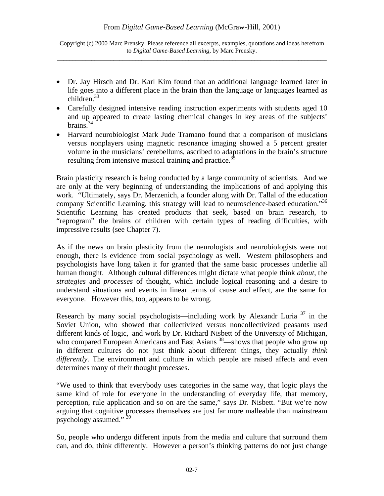- Dr. Jay Hirsch and Dr. Karl Kim found that an additional language learned later in life goes into a different place in the brain than the language or languages learned as children.33
- Carefully designed intensive reading instruction experiments with students aged 10 and up appeared to create lasting chemical changes in key areas of the subjects' brains.34
- Harvard neurobiologist Mark Jude Tramano found that a comparison of musicians versus nonplayers using magnetic resonance imaging showed a 5 percent greater volume in the musicians' cerebellums, ascribed to adaptations in the brain's structure resulting from intensive musical training and practice.<sup>35</sup>

Brain plasticity research is being conducted by a large community of scientists. And we are only at the very beginning of understanding the implications of and applying this work. "Ultimately, says Dr. Merzenich, a founder along with Dr. Tallal of the education company Scientific Learning, this strategy will lead to neuroscience-based education."<sup>36</sup> Scientific Learning has created products that seek, based on brain research, to "reprogram" the brains of children with certain types of reading difficulties, with impressive results (see Chapter 7).

As if the news on brain plasticity from the neurologists and neurobiologists were not enough, there is evidence from social psychology as well. Western philosophers and psychologists have long taken it for granted that the same basic processes underlie all human thought. Although cultural differences might dictate what people think *about*, the *strategies* and *processes* of thought, which include logical reasoning and a desire to understand situations and events in linear terms of cause and effect, are the same for everyone. However this, too, appears to be wrong.

Research by many social psychologists—including work by Alexandr Luria  $37$  in the Soviet Union, who showed that collectivized versus noncollectivized peasants used different kinds of logic, and work by Dr. Richard Nisbett of the University of Michigan, who compared European Americans and East Asians  $38$ —shows that people who grow up in different cultures do not just think about different things, they actually *think differently*. The environment and culture in which people are raised affects and even determines many of their thought processes.

"We used to think that everybody uses categories in the same way, that logic plays the same kind of role for everyone in the understanding of everyday life, that memory, perception, rule application and so on are the same," says Dr. Nisbett. "But we're now arguing that cognitive processes themselves are just far more malleable than mainstream psychology assumed." 39

So, people who undergo different inputs from the media and culture that surround them can, and do, think differently. However a person's thinking patterns do not just change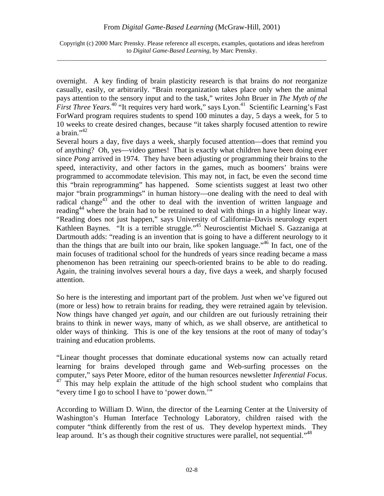overnight. A key finding of brain plasticity research is that brains do *not* reorganize casually, easily, or arbitrarily. "Brain reorganization takes place only when the animal pays attention to the sensory input and to the task," writes John Bruer in *The Myth of the* First Three Years.<sup>40</sup> "It requires very hard work," says Lyon.<sup>41</sup> Scientific Learning's Fast ForWard program requires students to spend 100 minutes a day, 5 days a week, for 5 to 10 weeks to create desired changes, because "it takes sharply focused attention to rewire a brain." $42$ 

Several hours a day, five days a week, sharply focused attention—does that remind you of anything? Oh, yes—video games! That is exactly what children have been doing ever since *Pong* arrived in 1974. They have been adjusting or programming their brains to the speed, interactivity, and other factors in the games, much as boomers' brains were programmed to accommodate television. This may not, in fact, be even the second time this "brain reprogramming" has happened. Some scientists suggest at least two other major "brain programmings" in human history—one dealing with the need to deal with radical change<sup>43</sup> and the other to deal with the invention of written language and reading<sup>44</sup> where the brain had to be retrained to deal with things in a highly linear way. "Reading does not just happen," says University of California–Davis neurology expert Kathleen Baynes. "It is a terrible struggle."45 Neuroscientist Michael S. Gazzaniga at Dartmouth adds: "reading is an invention that is going to have a different neurology to it than the things that are built into our brain, like spoken language."46 In fact, one of the main focuses of traditional school for the hundreds of years since reading became a mass phenomenon has been retraining our speech-oriented brains to be able to do reading. Again, the training involves several hours a day, five days a week, and sharply focused attention.

So here is the interesting and important part of the problem. Just when we've figured out (more or less) how to retrain brains for reading, they were retrained again by television. Now things have changed *yet again*, and our children are out furiously retraining their brains to think in newer ways, many of which, as we shall observe, are antithetical to older ways of thinking. This is one of the key tensions at the root of many of today's training and education problems.

"Linear thought processes that dominate educational systems now can actually retard learning for brains developed through game and Web-surfing processes on the computer," says Peter Moore, editor of the human resources newsletter *Inferential Focus*. 47 This may help explain the attitude of the high school student who complains that "every time I go to school I have to 'power down.'"

According to William D. Winn, the director of the Learning Center at the University of Washington's Human Interface Technology Laboratory, children raised with the computer "think differently from the rest of us. They develop hypertext minds. They leap around. It's as though their cognitive structures were parallel, not sequential.<sup>48</sup>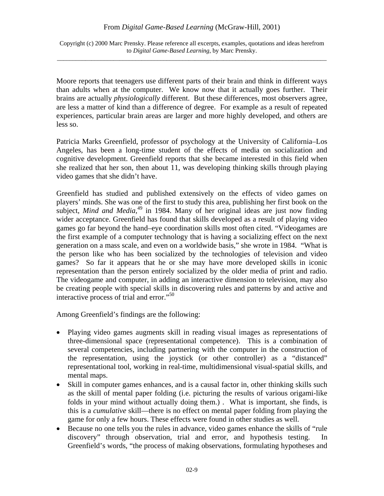Moore reports that teenagers use different parts of their brain and think in different ways than adults when at the computer. We know now that it actually goes further. Their brains are actually *physiologically* different. But these differences, most observers agree, are less a matter of kind than a difference of degree. For example as a result of repeated experiences, particular brain areas are larger and more highly developed, and others are less so.

Patricia Marks Greenfield, professor of psychology at the University of California–Los Angeles, has been a long-time student of the effects of media on socialization and cognitive development. Greenfield reports that she became interested in this field when she realized that her son, then about 11, was developing thinking skills through playing video games that she didn't have.

Greenfield has studied and published extensively on the effects of video games on players' minds. She was one of the first to study this area, publishing her first book on the subject, *Mind and Media*,<sup>49</sup> in 1984. Many of her original ideas are just now finding wider acceptance. Greenfield has found that skills developed as a result of playing video games go far beyond the hand–eye coordination skills most often cited. "Videogames are the first example of a computer technology that is having a socializing effect on the next generation on a mass scale, and even on a worldwide basis," she wrote in 1984. "What is the person like who has been socialized by the technologies of television and video games? So far it appears that he or she may have more developed skills in iconic representation than the person entirely socialized by the older media of print and radio. The videogame and computer, in adding an interactive dimension to television, may also be creating people with special skills in discovering rules and patterns by and active and interactive process of trial and error." 50

Among Greenfield's findings are the following:

- Playing video games augments skill in reading visual images as representations of three-dimensional space (representational competence). This is a combination of several competencies, including partnering with the computer in the construction of the representation, using the joystick (or other controller) as a "distanced" representational tool, working in real-time, multidimensional visual-spatial skills, and mental maps.
- Skill in computer games enhances, and is a causal factor in, other thinking skills such as the skill of mental paper folding (i.e. picturing the results of various origami-like folds in your mind without actually doing them.) . What is important, she finds, is this is a *cumulative* skill—there is no effect on mental paper folding from playing the game for only a few hours. These effects were found in other studies as well.
- Because no one tells you the rules in advance, video games enhance the skills of "rule discovery" through observation, trial and error, and hypothesis testing. In Greenfield's words, "the process of making observations, formulating hypotheses and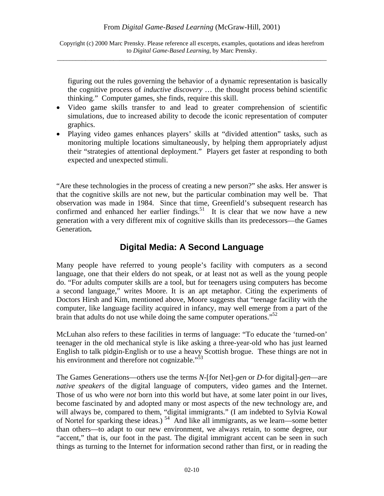figuring out the rules governing the behavior of a dynamic representation is basically the cognitive process of *inductive discovery* … the thought process behind scientific thinking." Computer games, she finds, require this skill.

- Video game skills transfer to and lead to greater comprehension of scientific simulations, due to increased ability to decode the iconic representation of computer graphics.
- Playing video games enhances players' skills at "divided attention" tasks, such as monitoring multiple locations simultaneously, by helping them appropriately adjust their "strategies of attentional deployment." Players get faster at responding to both expected and unexpected stimuli.

"Are these technologies in the process of creating a new person?" she asks. Her answer is that the cognitive skills are not new, but the particular combination may well be. That observation was made in 1984. Since that time, Greenfield's subsequent research has confirmed and enhanced her earlier findings.<sup>51</sup> It is clear that we now have a new generation with a very different mix of cognitive skills than its predecessors—the Games Generation**.** 

# **Digital Media: A Second Language**

Many people have referred to young people's facility with computers as a second language, one that their elders do not speak, or at least not as well as the young people do. "For adults computer skills are a tool, but for teenagers using computers has become a second language," writes Moore*.* It is an apt metaphor. Citing the experiments of Doctors Hirsh and Kim, mentioned above, Moore suggests that "teenage facility with the computer, like language facility acquired in infancy, may well emerge from a part of the brain that adults do not use while doing the same computer operations.<sup> $52$ </sup>

McLuhan also refers to these facilities in terms of language: "To educate the 'turned-on' teenager in the old mechanical style is like asking a three-year-old who has just learned English to talk pidgin-English or to use a heavy Scottish brogue. These things are not in his environment and therefore not cognizable."<sup>53</sup>

The Games Generations—others use the terms *N-*[for Net]*-gen* or *D-*for digital]*-gen*—are *native speakers* of the digital language of computers, video games and the Internet. Those of us who were *not* born into this world but have, at some later point in our lives, become fascinated by and adopted many or most aspects of the new technology are, and will always be, compared to them, "digital immigrants." (I am indebted to Sylvia Kowal of Nortel for sparking these ideas.) 54 And like all immigrants, as we learn—some better than others—to adapt to our new environment, we always retain, to some degree, our "accent," that is, our foot in the past. The digital immigrant accent can be seen in such things as turning to the Internet for information second rather than first, or in reading the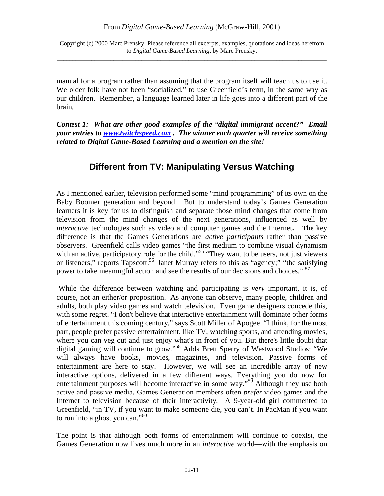manual for a program rather than assuming that the program itself will teach us to use it. We older folk have not been "socialized," to use Greenfield's term, in the same way as our children. Remember, a language learned later in life goes into a different part of the brain.

*Contest 1: What are other good examples of the "digital immigrant accent?" Email your entries to [www.twitchspeed.com](http://www.twitchspeed.com/) . The winner each quarter will receive something related to Digital Game-Based Learning and a mention on the site!*

# **Different from TV: Manipulating Versus Watching**

As I mentioned earlier, television performed some "mind programming" of its own on the Baby Boomer generation and beyond. But to understand today's Games Generation learners it is key for us to distinguish and separate those mind changes that come from television from the mind changes of the next generations, influenced as well by *interactive* technologies such as video and computer games and the Internet**.** The key difference is that the Games Generations are *active participants* rather than passive observers. Greenfield calls video games "the first medium to combine visual dynamism with an active, participatory role for the child."<sup>55</sup> "They want to be users, not just viewers or listeners," reports  $T$ apscott.<sup>56</sup> Janet Murray refers to this as "agency;" "the satisfying power to take meaningful action and see the results of our decisions and choices." 57

While the difference between watching and participating is *very* important, it is, of course, not an either/or proposition. As anyone can observe, many people, children and adults, both play video games and watch television. Even game designers concede this, with some regret. "I don't believe that interactive entertainment will dominate other forms of entertainment this coming century," says Scott Miller of Apogee "I think, for the most part, people prefer passive entertainment, like TV, watching sports, and attending movies, where you can veg out and just enjoy what's in front of you. But there's little doubt that digital gaming will continue to grow."58 Adds Brett Sperry of Westwood Studios: "We will always have books, movies, magazines, and television. Passive forms of entertainment are here to stay. However, we will see an incredible array of new interactive options, delivered in a few different ways. Everything you do now for entertainment purposes will become interactive in some way."<sup>59</sup> Although they use both active and passive media, Games Generation members often *prefer* video games and the Internet to television because of their interactivity. A 9-year-old girl commented to Greenfield, "in TV, if you want to make someone die, you can't. In PacMan if you want to run into a ghost you can."<sup>60</sup>

The point is that although both forms of entertainment will continue to coexist, the Games Generation now lives much more in an *interactive* world—with the emphasis on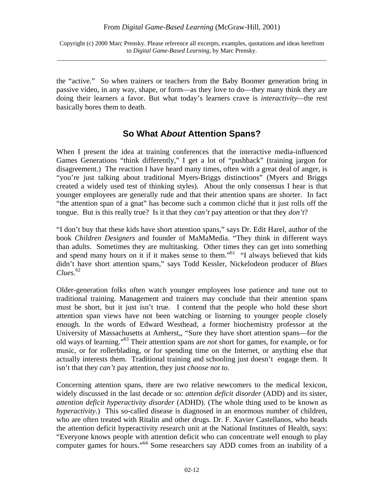the "active." So when trainers or teachers from the Baby Boomer generation bring in passive video, in any way, shape, or form—as they love to do—they many think they are doing their learners a favor. But what today's learners crave is *interactivity—*the rest basically bores them to death.

# **So What A***bout* **Attention Spans?**

When I present the idea at training conferences that the interactive media-influenced Games Generations "think differently," I get a lot of "pushback" (training jargon for disagreement.) The reaction I have heard many times, often with a great deal of anger, is "you're just talking about traditional Myers-Briggs distinctions" (Myers and Briggs created a widely used test of thinking styles). About the only consensus I hear is that younger employees are generally rude and that their attention spans are shorter. In fact "the attention span of a gnat" has become such a common cliché that it just rolls off the tongue. But is this really true? Is it that they *can't* pay attention or that they *don't*?

"I don't buy that these kids have short attention spans," says Dr. Edit Harel, author of the book *Children Designers* and founder of MaMaMedia. "They think in different ways than adults. Sometimes they are multitasking. Other times they can get into something and spend many hours on it if it makes sense to them."<sup>61</sup> "I always believed that kids didn't have short attention spans," says Todd Kessler, Nickelodeon producer of *Blues Clues.*<sup>62</sup>

Older-generation folks often watch younger employees lose patience and tune out to traditional training. Management and trainers may conclude that their attention spans must be short, but it just isn't true. I contend that the people who hold these short attention span views have not been watching or listening to younger people closely enough. In the words of Edward Westhead, a former biochemistry professor at the University of Massachusetts at Amherst,, "Sure they have short attention spans—for the old ways of learning."63 Their attention spans are *not* short for games, for example, or for music, or for rollerblading, or for spending time on the Internet, or anything else that actually interests them. Traditional training and schooling just doesn't engage them. It isn't that they *can't* pay attention, they just *choose not to.*

Concerning attention spans, there are two relative newcomers to the medical lexicon, widely discussed in the last decade or so: *attention deficit disorder* (ADD) and its sister, *attention deficit hyperactivity disorder* (ADHD). (The whole thing used to be known as *hyperactivity*.) This so-called disease is diagnosed in an enormous number of children, who are often treated with Ritalin and other drugs. Dr. F. Xavier Castellanos, who heads the attention deficit hyperactivity research unit at the National Institutes of Health, says: "Everyone knows people with attention deficit who can concentrate well enough to play computer games for hours."64 Some researchers say ADD comes from an inability of a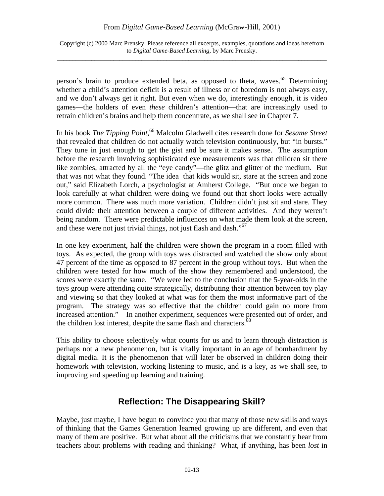#### From *Digital Game-Based Learning* (McGraw-Hill, 2001)

Copyright (c) 2000 Marc Prensky. Please reference all excerpts, examples, quotations and ideas herefrom to *Digital Game-Based Learning*, by Marc Prensky. \_\_\_\_\_\_\_\_\_\_\_\_\_\_\_\_\_\_\_\_\_\_\_\_\_\_\_\_\_\_\_\_\_\_\_\_\_\_\_\_\_\_\_\_\_\_\_\_\_\_\_\_\_\_\_\_\_\_\_\_\_\_\_\_\_\_\_\_\_\_\_\_\_\_\_\_\_\_\_\_\_\_\_\_\_\_

person's brain to produce extended beta, as opposed to theta, waves.<sup>65</sup> Determining whether a child's attention deficit is a result of illness or of boredom is not always easy, and we don't always get it right. But even when we do, interestingly enough, it is video games—the holders of even *these* children's attention—that are increasingly used to retrain children's brains and help them concentrate, as we shall see in Chapter 7.

In his book *The Tipping Point*, 66 Malcolm Gladwell cites research done for *Sesame Street* that revealed that children do not actually watch television continuously, but "in bursts." They tune in just enough to get the gist and be sure it makes sense. The assumption before the research involving sophisticated eye measurements was that children sit there like zombies, attracted by all the "eye candy"—the glitz and glitter of the medium. But that was not what they found. "The idea that kids would sit, stare at the screen and zone out," said Elizabeth Lorch, a psychologist at Amherst College. "But once we began to look carefully at what children were doing we found out that short looks were actually more common. There was much more variation. Children didn't just sit and stare. They could divide their attention between a couple of different activities. And they weren't being random. There were predictable influences on what made them look at the screen, and these were not just trivial things, not just flash and dash."<sup>67</sup>

In one key experiment, half the children were shown the program in a room filled with toys. As expected, the group with toys was distracted and watched the show only about 47 percent of the time as opposed to 87 percent in the group without toys. But when the children were tested for how much of the show they remembered and understood, the scores were exactly the same. "We were led to the conclusion that the 5-year-olds in the toys group were attending quite strategically, distributing their attention between toy play and viewing so that they looked at what was for them the most informative part of the program. The strategy was so effective that the children could gain no more from increased attention." In another experiment, sequences were presented out of order, and the children lost interest, despite the same flash and characters.<sup>68</sup>

This ability to choose selectively what counts for us and to learn through distraction is perhaps not a new phenomenon, but is vitally important in an age of bombardment by digital media. It is the phenomenon that will later be observed in children doing their homework with television, working listening to music, and is a key, as we shall see, to improving and speeding up learning and training.

# **Reflection: The Disappearing Skill?**

Maybe, just maybe, I have begun to convince you that many of those new skills and ways of thinking that the Games Generation learned growing up are different, and even that many of them are positive. But what about all the criticisms that we constantly hear from teachers about problems with reading and thinking? What, if anything, has been *lost* in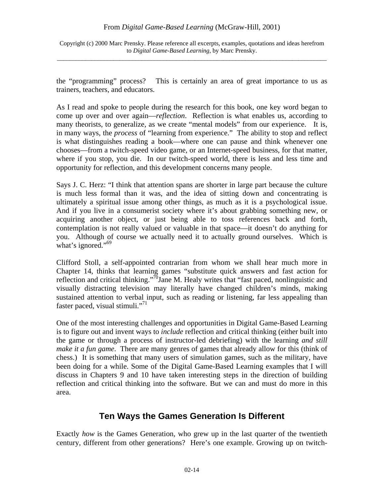#### From *Digital Game-Based Learning* (McGraw-Hill, 2001)

Copyright (c) 2000 Marc Prensky. Please reference all excerpts, examples, quotations and ideas herefrom to *Digital Game-Based Learning*, by Marc Prensky. \_\_\_\_\_\_\_\_\_\_\_\_\_\_\_\_\_\_\_\_\_\_\_\_\_\_\_\_\_\_\_\_\_\_\_\_\_\_\_\_\_\_\_\_\_\_\_\_\_\_\_\_\_\_\_\_\_\_\_\_\_\_\_\_\_\_\_\_\_\_\_\_\_\_\_\_\_\_\_\_\_\_\_\_\_\_

the "programming" process? This is certainly an area of great importance to us as trainers, teachers, and educators.

As I read and spoke to people during the research for this book, one key word began to come up over and over again—*reflection*. Reflection is what enables us, according to many theorists, to generalize, as we create "mental models" from our experience. It is, in many ways, the *process* of "learning from experience." The ability to stop and reflect is what distinguishes reading a book—where one can pause and think whenever one chooses—from a twitch-speed video game, or an Internet-speed business, for that matter, where if you stop, you die. In our twitch-speed world, there is less and less time and opportunity for reflection, and this development concerns many people.

Says J. C. Herz: "I think that attention spans are shorter in large part because the culture is much less formal than it was, and the idea of sitting down and concentrating is ultimately a spiritual issue among other things, as much as it is a psychological issue. And if you live in a consumerist society where it's about grabbing something new, or acquiring another object, or just being able to toss references back and forth, contemplation is not really valued or valuable in that space—it doesn't do anything for you. Although of course we actually need it to actually ground ourselves. Which is what's ignored."<sup>69</sup>

Clifford Stoll, a self-appointed contrarian from whom we shall hear much more in Chapter 14, thinks that learning games "substitute quick answers and fast action for reflection and critical thinking."<sup>70</sup>Jane M. Healy writes that "fast paced, nonlinguistic and visually distracting television may literally have changed children's minds, making sustained attention to verbal input, such as reading or listening, far less appealing than faster paced, visual stimuli."<sup>71</sup>

One of the most interesting challenges and opportunities in Digital Game-Based Learning is to figure out and invent ways to *include* reflection and critical thinking (either built into the game or through a process of instructor-led debriefing) with the learning *and still make it a fun game*. There are many genres of games that already allow for this (think of chess.) It is something that many users of simulation games, such as the military, have been doing for a while. Some of the Digital Game-Based Learning examples that I will discuss in Chapters 9 and 10 have taken interesting steps in the direction of building reflection and critical thinking into the software. But we can and must do more in this area.

# **Ten Ways the Games Generation Is Different**

Exactly *how* is the Games Generation, who grew up in the last quarter of the twentieth century, different from other generations? Here's one example. Growing up on twitch-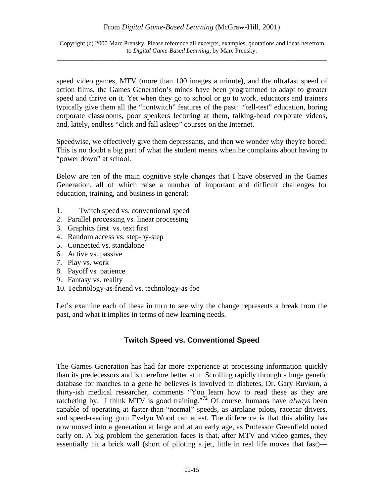speed video games, MTV (more than 100 images a minute), and the ultrafast speed of action films, the Games Generation's minds have been programmed to adapt to greater speed and thrive on it. Yet when they go to school or go to work, educators and trainers typically give them all the "nontwitch" features of the past: "tell-test" education, boring corporate classrooms, poor speakers lecturing at them, talking-head corporate videos, and, lately, endless "click and fall asleep" courses on the Internet.

Speedwise, we effectively give them depressants, and then we wonder why they're bored! This is no doubt a big part of what the student means when he complains about having to "power down" at school.

Below are ten of the main cognitive style changes that I have observed in the Games Generation, all of which raise a number of important and difficult challenges for education, training, and business in general:

- 1. Twitch speed vs. conventional speed
- 2. Parallel processing vs*.* linear processing
- 3. Graphics first vs. text first
- 4. Random access vs. step-by-step
- 5. Connected vs. standalone
- 6. Active vs. passive
- 7. Play vs. work
- 8. Payoff vs*.* patience
- 9. Fantasy vs*.* reality
- 10. Technology-as-friend vs. technology-as-foe

Let's examine each of these in turn to see why the change represents a break from the past, and what it implies in terms of new learning needs.

#### **Twitch Speed vs. Conventional Speed**

The Games Generation has had far more experience at processing information quickly than its predecessors and is therefore better at it. Scrolling rapidly through a huge genetic database for matches to a gene he believes is involved in diabetes, Dr. Gary Ruvkun, a thirty-ish medical researcher, comments "You learn how to read these as they are ratcheting by. I think MTV is good training."72 Of course, humans have *always* been capable of operating at faster-than-"normal" speeds, as airplane pilots, racecar drivers, and speed-reading guru Evelyn Wood can attest. The difference is that this ability has now moved into a generation at large and at an early age, as Professor Greenfield noted early on. A big problem the generation faces is that, after MTV and video games, they essentially hit a brick wall (short of piloting a jet, little in real life moves that fast)—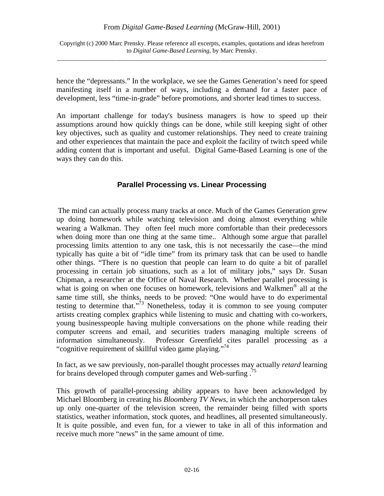hence the "depressants." In the workplace, we see the Games Generation's need for speed manifesting itself in a number of ways, including a demand for a faster pace of development, less "time-in-grade" before promotions, and shorter lead times to success.

An important challenge for today's business managers is how to speed up their assumptions around how quickly things can be done, while still keeping sight of other key objectives, such as quality and customer relationships. They need to create training and other experiences that maintain the pace and exploit the facility of twitch speed while adding content that is important and useful. Digital Game-Based Learning is one of the ways they can do this.

## **Parallel Processing vs. Linear Processing**

The mind can actually process many tracks at once. Much of the Games Generation grew up doing homework while watching television and doing almost everything while wearing a Walkman. They often feel much more comfortable than their predecessors when doing more than one thing at the same time.. Although some argue that parallel processing limits attention to any one task, this is not necessarily the case—the mind typically has quite a bit of "idle time" from its primary task that can be used to handle other things. "There is no question that people can learn to do quite a bit of parallel processing in certain job situations, such as a lot of military jobs," says Dr. Susan Chipman, a researcher at the Office of Naval Research. Whether parallel processing is what is going on when one focuses on homework, televisions and Walkmen<sup>®</sup> all at the same time still, she thinks, needs to be proved: "One would have to do experimental testing to determine that."<sup>73</sup> Nonetheless, today it is common to see young computer artists creating complex graphics while listening to music and chatting with co-workers, young businesspeople having multiple conversations on the phone while reading their computer screens and email, and securities traders managing multiple screens of information simultaneously. Professor Greenfield cites parallel processing as a "cognitive requirement of skillful video game playing."<sup>74</sup>

In fact, as we saw previously, non-parallel thought processes may actually *retard* learning for brains developed through computer games and Web-surfing .75

This growth of parallel-processing ability appears to have been acknowledged by Michael Bloomberg in creating his *Bloomberg TV News*, in which the anchorperson takes up only one-quarter of the television screen, the remainder being filled with sports statistics, weather information, stock quotes, and headlines, all presented simultaneously. It is quite possible, and even fun, for a viewer to take in all of this information and receive much more "news" in the same amount of time.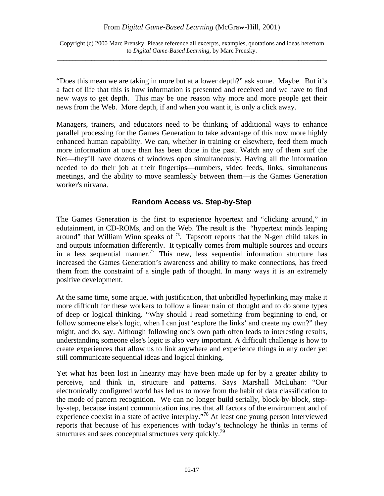"Does this mean we are taking in more but at a lower depth?" ask some. Maybe. But it's a fact of life that this is how information is presented and received and we have to find new ways to get depth. This may be one reason why more and more people get their news from the Web. More depth, if and when you want it, is only a click away.

Managers, trainers, and educators need to be thinking of additional ways to enhance parallel processing for the Games Generation to take advantage of this now more highly enhanced human capability. We can, whether in training or elsewhere, feed them much more information at once than has been done in the past. Watch any of them surf the Net—they'll have dozens of windows open simultaneously. Having all the information needed to do their job at their fingertips—numbers, video feeds, links, simultaneous meetings, and the ability to move seamlessly between them—is the Games Generation worker's nirvana.

## **Random Access vs. Step-by-Step**

The Games Generation is the first to experience hypertext and "clicking around," in edutainment, in CD-ROMs, and on the Web. The result is the "hypertext minds leaping around" that William Winn speaks of  $76$ . Tapscott reports that the N-gen child takes in and outputs information differently. It typically comes from multiple sources and occurs in a less sequential manner.<sup>77</sup> This new, less sequential information structure has increased the Games Generation's awareness and ability to make connections, has freed them from the constraint of a single path of thought. In many ways it is an extremely positive development.

At the same time, some argue, with justification, that unbridled hyperlinking may make it more difficult for these workers to follow a linear train of thought and to do some types of deep or logical thinking. "Why should I read something from beginning to end, or follow someone else's logic, when I can just 'explore the links' and create my own?" they might, and do, say. Although following one's own path often leads to interesting results, understanding someone else's logic is also very important. A difficult challenge is how to create experiences that allow us to link anywhere and experience things in any order yet still communicate sequential ideas and logical thinking.

Yet what has been lost in linearity may have been made up for by a greater ability to perceive, and think in, structure and patterns. Says Marshall McLuhan: "Our electronically configured world has led us to move from the habit of data classification to the mode of pattern recognition. We can no longer build serially, block-by-block, stepby-step, because instant communication insures that all factors of the environment and of experience coexist in a state of active interplay."78 At least one young person interviewed reports that because of his experiences with today's technology he thinks in terms of structures and sees conceptual structures very quickly.<sup>79</sup>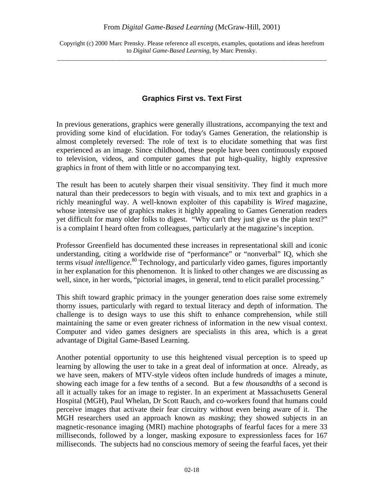## **Graphics First vs. Text First**

In previous generations, graphics were generally illustrations, accompanying the text and providing some kind of elucidation. For today's Games Generation, the relationship is almost completely reversed: The role of text is to elucidate something that was first experienced as an image. Since childhood, these people have been continuously exposed to television, videos, and computer games that put high-quality, highly expressive graphics in front of them with little or no accompanying text.

The result has been to acutely sharpen their visual sensitivity. They find it much more natural than their predecessors to begin with visuals, and to mix text and graphics in a richly meaningful way. A well-known exploiter of this capability is *Wired* magazine, whose intensive use of graphics makes it highly appealing to Games Generation readers yet difficult for many older folks to digest. "Why can't they just give us the plain text?" is a complaint I heard often from colleagues, particularly at the magazine's inception.

Professor Greenfield has documented these increases in representational skill and iconic understanding, citing a worldwide rise of "performance" or "nonverbal" IQ, which she terms *visual intelligence*. 80 Technology, and particularly video games, figures importantly in her explanation for this phenomenon. It is linked to other changes we are discussing as well, since, in her words, "pictorial images, in general, tend to elicit parallel processing."

This shift toward graphic primacy in the younger generation does raise some extremely thorny issues, particularly with regard to textual literacy and depth of information. The challenge is to design ways to use this shift to enhance comprehension, while still maintaining the same or even greater richness of information in the new visual context. Computer and video games designers are specialists in this area, which is a great advantage of Digital Game-Based Learning.

Another potential opportunity to use this heightened visual perception is to speed up learning by allowing the user to take in a great deal of information at once. Already, as we have seen, makers of MTV-style videos often include hundreds of images a minute, showing each image for a few tenths of a second. But a few *thousandths* of a second is all it actually takes for an image to register. In an experiment at Massachusetts General Hospital (MGH), Paul Whelan, Dr Scott Rauch, and co-workers found that humans could perceive images that activate their fear circuitry without even being aware of it. The MGH researchers used an approach known as *masking*; they showed subjects in an magnetic-resonance imaging (MRI) machine photographs of fearful faces for a mere 33 milliseconds, followed by a longer, masking exposure to expressionless faces for 167 milliseconds. The subjects had no conscious memory of seeing the fearful faces, yet their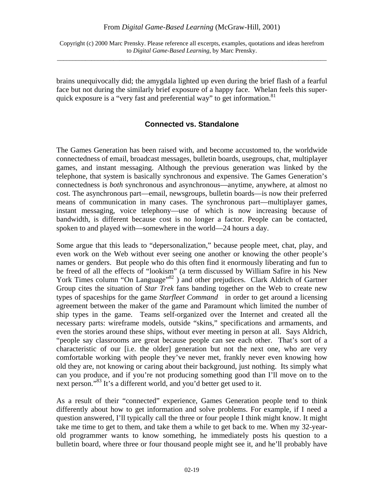brains unequivocally did; the amygdala lighted up even during the brief flash of a fearful face but not during the similarly brief exposure of a happy face. Whelan feels this superquick exposure is a "very fast and preferential way" to get information.<sup>81</sup>

## **Connected vs. Standalone**

The Games Generation has been raised with, and become accustomed to, the worldwide connectedness of email, broadcast messages, bulletin boards, usegroups, chat, multiplayer games, and instant messaging. Although the previous generation was linked by the telephone, that system is basically synchronous and expensive. The Games Generation's connectedness is *both* synchronous and asynchronous—anytime, anywhere, at almost no cost. The asynchronous part—email, newsgroups, bulletin boards—is now their preferred means of communication in many cases. The synchronous part—multiplayer games, instant messaging, voice telephony—use of which is now increasing because of bandwidth, is different because cost is no longer a factor. People can be contacted, spoken to and played with—somewhere in the world—24 hours a day.

Some argue that this leads to "depersonalization," because people meet, chat, play, and even work on the Web without ever seeing one another or knowing the other people's names or genders. But people who do this often find it enormously liberating and fun to be freed of all the effects of "lookism" (a term discussed by William Safire in his New York Times column "On Language"<sup>82</sup>) and other prejudices. Clark Aldrich of Gartner Group cites the situation of *Star Trek* fans banding together on the Web to create new types of spaceships for the game *Starfleet Command* in order to get around a licensing agreement between the maker of the game and Paramount which limited the number of ship types in the game. Teams self-organized over the Internet and created all the necessary parts: wireframe models, outside "skins," specifications and armaments, and even the stories around these ships, without ever meeting in person at all. Says Aldrich, "people say classrooms are great because people can see each other. That's sort of a characteristic of our [i.e. the older] generation but not the next one, who are very comfortable working with people they've never met, frankly never even knowing how old they are, not knowing or caring about their background, just nothing. Its simply what can you produce, and if you're not producing something good than I'll move on to the next person."<sup>83</sup> It's a different world, and you'd better get used to it.

As a result of their "connected" experience, Games Generation people tend to think differently about how to get information and solve problems. For example, if I need a question answered, I'll typically call the three or four people I think might know. It might take me time to get to them, and take them a while to get back to me. When my 32-yearold programmer wants to know something, he immediately posts his question to a bulletin board, where three or four thousand people might see it, and he'll probably have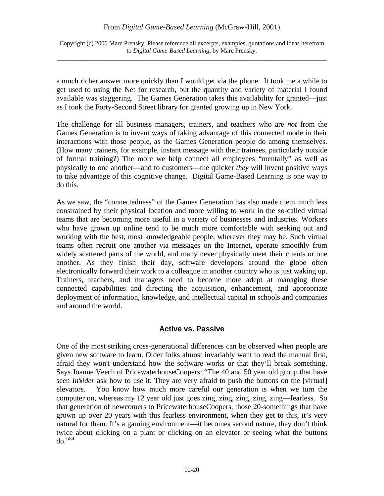#### From *Digital Game-Based Learning* (McGraw-Hill, 2001)

Copyright (c) 2000 Marc Prensky. Please reference all excerpts, examples, quotations and ideas herefrom to *Digital Game-Based Learning*, by Marc Prensky. \_\_\_\_\_\_\_\_\_\_\_\_\_\_\_\_\_\_\_\_\_\_\_\_\_\_\_\_\_\_\_\_\_\_\_\_\_\_\_\_\_\_\_\_\_\_\_\_\_\_\_\_\_\_\_\_\_\_\_\_\_\_\_\_\_\_\_\_\_\_\_\_\_\_\_\_\_\_\_\_\_\_\_\_\_\_

a much richer answer more quickly than I would get via the phone. It took me a while to get used to using the Net for research, but the quantity and variety of material I found available was staggering. The Games Generation takes this availability for granted—just as I took the Forty-Second Street library for granted growing up in New York.

The challenge for all business managers, trainers, and teachers who are *not* from the Games Generation is to invent ways of taking advantage of this connected mode in their interactions with those people, as the Games Generation people do among themselves. (How many trainers, for example, instant message with their trainees, particularly outside of formal training?) The more we help connect all employees "mentally" as well as physically to one another—and to customers—the quicker *they* will invent positive ways to take advantage of this cognitive change. Digital Game-Based Learning is one way to do this.

As we saw, the "connectedness" of the Games Generation has also made them much less constrained by their physical location and more willing to work in the so-called virtual teams that are becoming more useful in a variety of businesses and industries. Workers who have grown up online tend to be much more comfortable with seeking out and working with the best, most knowledgeable people, wherever they may be. Such virtual teams often recruit one another via messages on the Internet, operate smoothly from widely scattered parts of the world, and many never physically meet their clients or one another. As they finish their day, software developers around the globe often electronically forward their work to a colleague in another country who is just waking up. Trainers, teachers, and managers need to become more adept at managing these connected capabilities and directing the acquisition, enhancement, and appropriate deployment of information, knowledge, and intellectual capital in schools and companies and around the world.

#### **Active vs. Passive**

One of the most striking cross-generational differences can be observed when people are given new software to learn. Older folks almost invariably want to read the manual first, afraid they won't understand how the software works or that they'll break something. Says Joanne Veech of PricewaterhouseCoopers: "The 40 and 50 year old group that have seen *In\$ider* ask how to use it. They are very afraid to push the buttons on the [virtual] elevators. You know how much more careful our generation is when we turn the computer on, whereas my 12 year old just goes zing, zing, zing, zing, zing—fearless. So that generation of newcomers to PricewaterhouseCoopers, those 20-somethings that have grown up over 20 years with this fearless environment, when they get to this, it's very natural for them. It's a gaming environment—it becomes second nature, they don't think twice about clicking on a plant or clicking on an elevator or seeing what the buttons do."84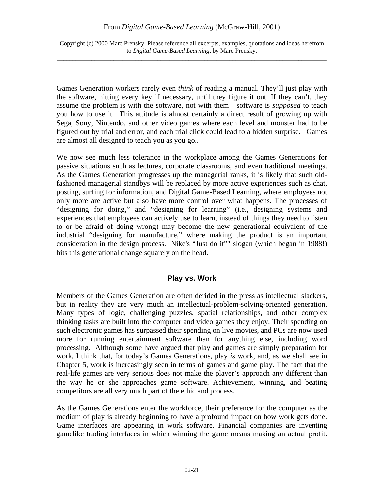Games Generation workers rarely even *think* of reading a manual. They'll just play with the software, hitting every key if necessary, until they figure it out. If they can't, they assume the problem is with the software, not with them—software is *supposed* to teach you how to use it. This attitude is almost certainly a direct result of growing up with Sega, Sony, Nintendo, and other video games where each level and monster had to be figured out by trial and error, and each trial click could lead to a hidden surprise. Games are almost all designed to teach you as you go..

We now see much less tolerance in the workplace among the Games Generations for passive situations such as lectures, corporate classrooms, and even traditional meetings. As the Games Generation progresses up the managerial ranks, it is likely that such oldfashioned managerial standbys will be replaced by more active experiences such as chat, posting, surfing for information, and Digital Game-Based Learning, where employees not only more are active but also have more control over what happens. The processes of "designing for doing," and "designing for learning" (i.e., designing systems and experiences that employees can actively use to learn, instead of things they need to listen to or be afraid of doing wrong) may become the new generational equivalent of the industrial "designing for manufacture," where making the product is an important consideration in the design process. Nike's "Just do it"" slogan (which began in 1988!) hits this generational change squarely on the head.

#### **Play vs. Work**

Members of the Games Generation are often derided in the press as intellectual slackers, but in reality they are very much an intellectual-problem-solving-oriented generation. Many types of logic, challenging puzzles, spatial relationships, and other complex thinking tasks are built into the computer and video games they enjoy. Their spending on such electronic games has surpassed their spending on live movies, and PCs are now used more for running entertainment software than for anything else, including word processing. Although some have argued that play and games are simply preparation for work, I think that, for today's Games Generations, play *is* work, and, as we shall see in Chapter 5, work is increasingly seen in terms of games and game play. The fact that the real-life games are very serious does not make the player's approach any different than the way he or she approaches game software. Achievement, winning, and beating competitors are all very much part of the ethic and process.

As the Games Generations enter the workforce, their preference for the computer as the medium of play is already beginning to have a profound impact on how work gets done. Game interfaces are appearing in work software. Financial companies are inventing gamelike trading interfaces in which winning the game means making an actual profit.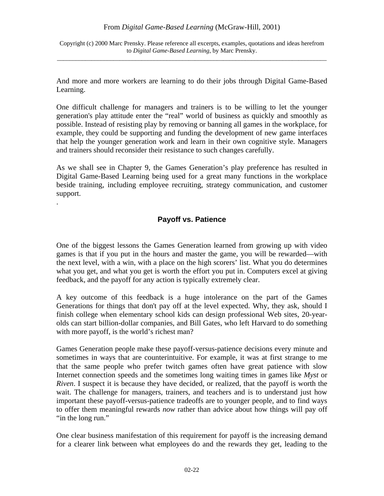And more and more workers are learning to do their jobs through Digital Game-Based Learning.

One difficult challenge for managers and trainers is to be willing to let the younger generation's play attitude enter the "real" world of business as quickly and smoothly as possible. Instead of resisting play by removing or banning all games in the workplace, for example, they could be supporting and funding the development of new game interfaces that help the younger generation work and learn in their own cognitive style. Managers and trainers should reconsider their resistance to such changes carefully.

As we shall see in Chapter 9, the Games Generation's play preference has resulted in Digital Game-Based Learning being used for a great many functions in the workplace beside training, including employee recruiting, strategy communication, and customer support.

## **Payoff vs. Patience**

.

One of the biggest lessons the Games Generation learned from growing up with video games is that if you put in the hours and master the game, you will be rewarded—with the next level, with a win, with a place on the high scorers' list. What you do determines what you get, and what you get is worth the effort you put in. Computers excel at giving feedback, and the payoff for any action is typically extremely clear.

A key outcome of this feedback is a huge intolerance on the part of the Games Generations for things that don't pay off at the level expected. Why, they ask, should I finish college when elementary school kids can design professional Web sites, 20-yearolds can start billion-dollar companies, and Bill Gates, who left Harvard to do something with more payoff, is the world's richest man?

Games Generation people make these payoff-versus-patience decisions every minute and sometimes in ways that are counterintuitive. For example, it was at first strange to me that the same people who prefer twitch games often have great patience with slow Internet connection speeds and the sometimes long waiting times in games like *Myst* or *Riven*. I suspect it is because they have decided, or realized, that the payoff is worth the wait. The challenge for managers, trainers, and teachers and is to understand just how important these payoff-versus-patience tradeoffs are to younger people, and to find ways to offer them meaningful rewards *now* rather than advice about how things will pay off "in the long run."

One clear business manifestation of this requirement for payoff is the increasing demand for a clearer link between what employees do and the rewards they get, leading to the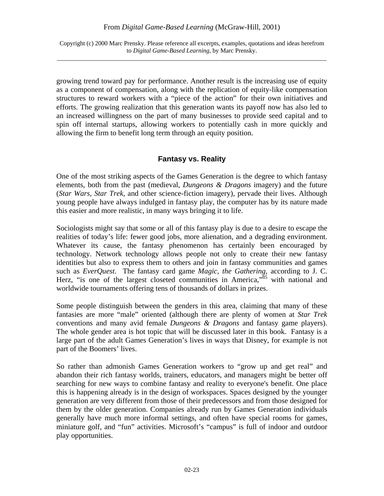growing trend toward pay for performance. Another result is the increasing use of equity as a component of compensation, along with the replication of equity-like compensation structures to reward workers with a "piece of the action" for their own initiatives and efforts. The growing realization that this generation wants its payoff now has also led to an increased willingness on the part of many businesses to provide seed capital and to spin off internal startups, allowing workers to potentially cash in more quickly and allowing the firm to benefit long term through an equity position.

## **Fantasy vs. Reality**

One of the most striking aspects of the Games Generation is the degree to which fantasy elements, both from the past (medieval, *Dungeons & Dragons* imagery) and the future (*Star Wars*, *Star Trek*, and other science-fiction imagery), pervade their lives. Although young people have always indulged in fantasy play, the computer has by its nature made this easier and more realistic, in many ways bringing it to life.

Sociologists might say that some or all of this fantasy play is due to a desire to escape the realities of today's life: fewer good jobs, more alienation, and a degrading environment. Whatever its cause, the fantasy phenomenon has certainly been encouraged by technology. Network technology allows people not only to create their new fantasy identities but also to express them to others and join in fantasy communities and games such as *EverQuest*. The fantasy card game *Magic, the Gathering*, according to J. C. Herz, "is one of the largest closeted communities in America,"<sup>85</sup> with national and worldwide tournaments offering tens of thousands of dollars in prizes.

Some people distinguish between the genders in this area, claiming that many of these fantasies are more "male" oriented (although there are plenty of women at *Star Trek* conventions and many avid female *Dungeons & Dragons* and fantasy game players). The whole gender area is hot topic that will be discussed later in this book. Fantasy is a large part of the adult Games Generation's lives in ways that Disney, for example is not part of the Boomers' lives.

So rather than admonish Games Generation workers to "grow up and get real" and abandon their rich fantasy worlds, trainers, educators, and managers might be better off searching for new ways to combine fantasy and reality to everyone's benefit. One place this is happening already is in the design of workspaces. Spaces designed by the younger generation are very different from those of their predecessors and from those designed for them by the older generation. Companies already run by Games Generation individuals generally have much more informal settings, and often have special rooms for games, miniature golf, and "fun" activities. Microsoft's "campus" is full of indoor and outdoor play opportunities.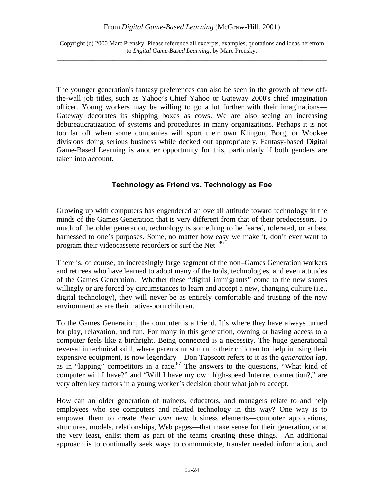The younger generation's fantasy preferences can also be seen in the growth of new offthe-wall job titles, such as Yahoo's Chief Yahoo or Gateway 2000's chief imagination officer. Young workers may be willing to go a lot further with their imaginations— Gateway decorates its shipping boxes as cows. We are also seeing an increasing debureaucratization of systems and procedures in many organizations. Perhaps it is not too far off when some companies will sport their own Klingon, Borg, or Wookee divisions doing serious business while decked out appropriately. Fantasy-based Digital Game-Based Learning is another opportunity for this, particularly if both genders are taken into account.

## **Technology as Friend vs. Technology as Foe**

Growing up with computers has engendered an overall attitude toward technology in the minds of the Games Generation that is very different from that of their predecessors. To much of the older generation, technology is something to be feared, tolerated, or at best harnessed to one's purposes. Some, no matter how easy we make it, don't ever want to program their videocassette recorders or surf the Net. <sup>86</sup>

There is, of course, an increasingly large segment of the non–Games Generation workers and retirees who have learned to adopt many of the tools, technologies, and even attitudes of the Games Generation. Whether these "digital immigrants" come to the new shores willingly or are forced by circumstances to learn and accept a new, changing culture (i.e., digital technology), they will never be as entirely comfortable and trusting of the new environment as are their native-born children.

To the Games Generation, the computer is a friend. It's where they have always turned for play, relaxation, and fun. For many in this generation, owning or having access to a computer feels like a birthright. Being connected is a necessity. The huge generational reversal in technical skill, where parents must turn to their children for help in using their expensive equipment, is now legendary—Don Tapscott refers to it as the *generation lap*, as in "lapping" competitors in a race.<sup>87</sup> The answers to the questions, "What kind of computer will I have?" and "Will I have my own high-speed Internet connection?," are very often key factors in a young worker's decision about what job to accept.

How can an older generation of trainers, educators, and managers relate to and help employees who see computers and related technology in this way? One way is to empower them to create *their own* new business elements—computer applications, structures, models, relationships, Web pages—that make sense for their generation, or at the very least, enlist them as part of the teams creating these things. An additional approach is to continually seek ways to communicate, transfer needed information, and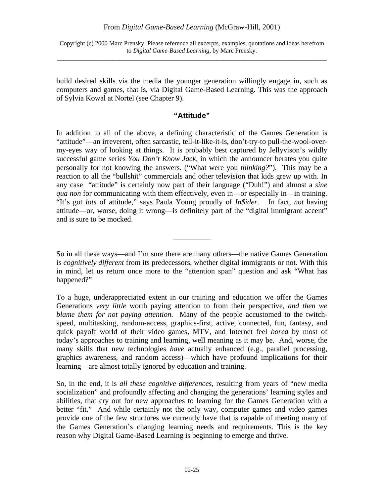build desired skills via the media the younger generation willingly engage in, such as computers and games, that is, via Digital Game-Based Learning. This was the approach of Sylvia Kowal at Nortel (see Chapter 9).

#### **"Attitude"**

In addition to all of the above, a defining characteristic of the Games Generation is "attitude"—an irreverent, often sarcastic, tell-it-like-it-is, don't-try-to pull-the-wool-overmy-eyes way of looking at things. It is probably best captured by Jellyvison's wildly successful game series *You Don't Know Jack*, in which the announcer berates you quite personally for not knowing the answers. ("What were you *thinking?*"). This may be a reaction to all the "bullshit" commercials and other television that kids grew up with. In any case "attitude" is certainly now part of their language ("Duh!") and almost a *sine qua non* for communicating with them effectively, even in—or especially in—in training. "It's got *lots* of attitude," says Paula Young proudly of *In\$ider*. In fact, *not* having attitude—or, worse, doing it wrong—is definitely part of the "digital immigrant accent" and is sure to be mocked.

So in all these ways—and I'm sure there are many others—the native Games Generation is *cognitively different* from its predecessors, whether digital immigrants or not. With this in mind, let us return once more to the "attention span" question and ask "What has happened?"

\_\_\_\_\_\_\_\_\_\_

To a huge, underappreciated extent in our training and education we offer the Games Generations *very little* worth paying attention to from their perspective, *and then we blame them for not paying attention*. Many of the people accustomed to the twitchspeed, multitasking, random-access, graphics-first, active, connected, fun, fantasy, and quick payoff world of their video games, MTV, and Internet feel *bored* by most of today's approaches to training and learning, well meaning as it may be. And, worse, the many skills that new technologies *have* actually enhanced (e.g., parallel processing, graphics awareness, and random access)—which have profound implications for their learning—are almost totally ignored by education and training.

So, in the end, it is *all these cognitive differences*, resulting from years of "new media socialization" and profoundly affecting and changing the generations' learning styles and abilities, that cry out for new approaches to learning for the Games Generation with a better "fit." And while certainly not the only way, computer games and video games provide one of the few structures we currently have that is capable of meeting many of the Games Generation's changing learning needs and requirements. This is the key reason why Digital Game-Based Learning is beginning to emerge and thrive.